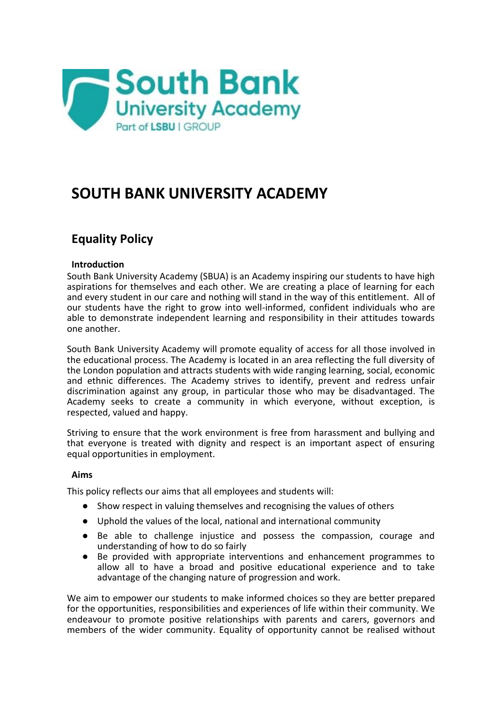

# **SOUTH BANK UNIVERSITY ACADEMY**

# **Equality Policy**

# **Introduction**

South Bank University Academy (SBUA) is an Academy inspiring our students to have high aspirations for themselves and each other. We are creating a place of learning for each and every student in our care and nothing will stand in the way of this entitlement. All of our students have the right to grow into well-informed, confident individuals who are able to demonstrate independent learning and responsibility in their attitudes towards one another.

South Bank University Academy will promote equality of access for all those involved in the educational process. The Academy is located in an area reflecting the full diversity of the London population and attracts students with wide ranging learning, social, economic and ethnic differences. The Academy strives to identify, prevent and redress unfair discrimination against any group, in particular those who may be disadvantaged. The Academy seeks to create a community in which everyone, without exception, is respected, valued and happy.

Striving to ensure that the work environment is free from harassment and bullying and that everyone is treated with dignity and respect is an important aspect of ensuring equal opportunities in employment.

# **Aims**

This policy reflects our aims that all employees and students will:

- Show respect in valuing themselves and recognising the values of others
- Uphold the values of the local, national and international community
- Be able to challenge injustice and possess the compassion, courage and understanding of how to do so fairly
- Be provided with appropriate interventions and enhancement programmes to allow all to have a broad and positive educational experience and to take advantage of the changing nature of progression and work.

We aim to empower our students to make informed choices so they are better prepared for the opportunities, responsibilities and experiences of life within their community. We endeavour to promote positive relationships with parents and carers, governors and members of the wider community. Equality of opportunity cannot be realised without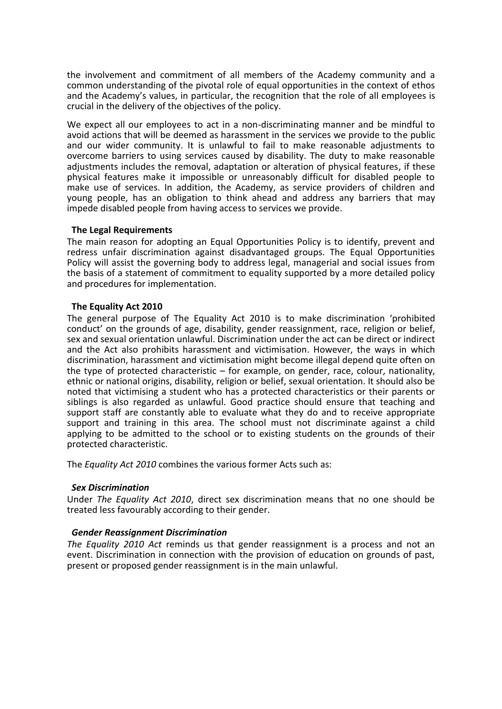the involvement and commitment of all members of the Academy community and a common understanding of the pivotal role of equal opportunities in the context of ethos and the Academy's values, in particular, the recognition that the role of all employees is crucial in the delivery of the objectives of the policy.

We expect all our employees to act in a non-discriminating manner and be mindful to avoid actions that will be deemed as harassment in the services we provide to the public and our wider community. It is unlawful to fail to make reasonable adjustments to overcome barriers to using services caused by disability. The duty to make reasonable adjustments includes the removal, adaptation or alteration of physical features, if these physical features make it impossible or unreasonably difficult for disabled people to make use of services. In addition, the Academy, as service providers of children and young people, has an obligation to think ahead and address any barriers that may impede disabled people from having access to services we provide.

# **The Legal Requirements**

The main reason for adopting an Equal Opportunities Policy is to identify, prevent and redress unfair discrimination against disadvantaged groups. The Equal Opportunities Policy will assist the governing body to address legal, managerial and social issues from the basis of a statement of commitment to equality supported by a more detailed policy and procedures for implementation.

# **The Equality Act 2010**

The general purpose of The Equality Act 2010 is to make discrimination 'prohibited conduct' on the grounds of age, disability, gender reassignment, race, religion or belief, sex and sexual orientation unlawful. Discrimination under the act can be direct or indirect and the Act also prohibits harassment and victimisation. However, the ways in which discrimination, harassment and victimisation might become illegal depend quite often on the type of protected characteristic – for example, on gender, race, colour, nationality, ethnic or national origins, disability, religion or belief, sexual orientation. It should also be noted that victimising a student who has a protected characteristics or their parents or siblings is also regarded as unlawful. Good practice should ensure that teaching and support staff are constantly able to evaluate what they do and to receive appropriate support and training in this area. The school must not discriminate against a child applying to be admitted to the school or to existing students on the grounds of their protected characteristic.

The *Equality Act 2010* combines the various former Acts such as:

# *Sex Discrimination*

Under *The Equality Act 2010*, direct sex discrimination means that no one should be treated less favourably according to their gender.

# *Gender Reassignment Discrimination*

*The Equality 2010 Act* reminds us that gender reassignment is a process and not an event. Discrimination in connection with the provision of education on grounds of past, present or proposed gender reassignment is in the main unlawful.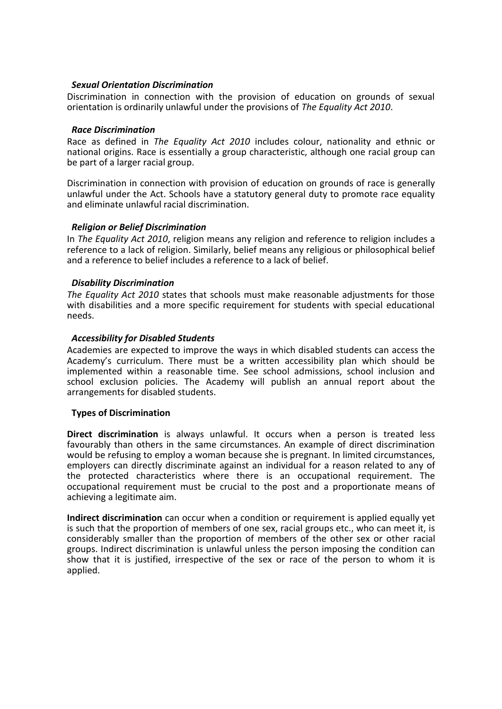# *Sexual Orientation Discrimination*

Discrimination in connection with the provision of education on grounds of sexual orientation is ordinarily unlawful under the provisions of *The Equality Act 2010*.

#### *Race Discrimination*

Race as defined in *The Equality Act 2010* includes colour, nationality and ethnic or national origins. Race is essentially a group characteristic, although one racial group can be part of a larger racial group.

Discrimination in connection with provision of education on grounds of race is generally unlawful under the Act. Schools have a statutory general duty to promote race equality and eliminate unlawful racial discrimination.

# *Religion or Belief Discrimination*

In *The Equality Act 2010*, religion means any religion and reference to religion includes a reference to a lack of religion. Similarly, belief means any religious or philosophical belief and a reference to belief includes a reference to a lack of belief.

# *Disability Discrimination*

*The Equality Act 2010* states that schools must make reasonable adjustments for those with disabilities and a more specific requirement for students with special educational needs.

# *Accessibility for Disabled Students*

Academies are expected to improve the ways in which disabled students can access the Academy's curriculum. There must be a written accessibility plan which should be implemented within a reasonable time. See school admissions, school inclusion and school exclusion policies. The Academy will publish an annual report about the arrangements for disabled students.

#### **Types of Discrimination**

**Direct discrimination** is always unlawful. It occurs when a person is treated less favourably than others in the same circumstances. An example of direct discrimination would be refusing to employ a woman because she is pregnant. In limited circumstances, employers can directly discriminate against an individual for a reason related to any of the protected characteristics where there is an occupational requirement. The occupational requirement must be crucial to the post and a proportionate means of achieving a legitimate aim.

**Indirect discrimination** can occur when a condition or requirement is applied equally yet is such that the proportion of members of one sex, racial groups etc., who can meet it, is considerably smaller than the proportion of members of the other sex or other racial groups. Indirect discrimination is unlawful unless the person imposing the condition can show that it is justified, irrespective of the sex or race of the person to whom it is applied.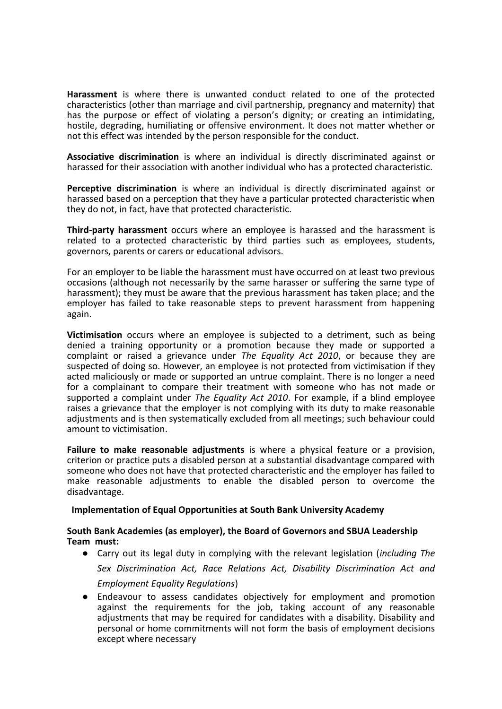**Harassment** is where there is unwanted conduct related to one of the protected characteristics (other than marriage and civil partnership, pregnancy and maternity) that has the purpose or effect of violating a person's dignity; or creating an intimidating, hostile, degrading, humiliating or offensive environment. It does not matter whether or not this effect was intended by the person responsible for the conduct.

**Associative discrimination** is where an individual is directly discriminated against or harassed for their association with another individual who has a protected characteristic.

**Perceptive discrimination** is where an individual is directly discriminated against or harassed based on a perception that they have a particular protected characteristic when they do not, in fact, have that protected characteristic.

**Third-party harassment** occurs where an employee is harassed and the harassment is related to a protected characteristic by third parties such as employees, students, governors, parents or carers or educational advisors.

For an employer to be liable the harassment must have occurred on at least two previous occasions (although not necessarily by the same harasser or suffering the same type of harassment); they must be aware that the previous harassment has taken place; and the employer has failed to take reasonable steps to prevent harassment from happening again.

**Victimisation** occurs where an employee is subjected to a detriment, such as being denied a training opportunity or a promotion because they made or supported a complaint or raised a grievance under *The Equality Act 2010*, or because they are suspected of doing so. However, an employee is not protected from victimisation if they acted maliciously or made or supported an untrue complaint. There is no longer a need for a complainant to compare their treatment with someone who has not made or supported a complaint under *The Equality Act 2010*. For example, if a blind employee raises a grievance that the employer is not complying with its duty to make reasonable adjustments and is then systematically excluded from all meetings; such behaviour could amount to victimisation.

**Failure to make reasonable adjustments** is where a physical feature or a provision, criterion or practice puts a disabled person at a substantial disadvantage compared with someone who does not have that protected characteristic and the employer has failed to make reasonable adjustments to enable the disabled person to overcome the disadvantage.

# **Implementation of Equal Opportunities at South Bank University Academy**

# **South Bank Academies (as employer), the Board of Governors and SBUA Leadership Team must:**

- Carry out its legal duty in complying with the relevant legislation (*including The Sex Discrimination Act, Race Relations Act, Disability Discrimination Act and Employment Equality Regulations*)
- Endeavour to assess candidates objectively for employment and promotion against the requirements for the job, taking account of any reasonable adjustments that may be required for candidates with a disability. Disability and personal or home commitments will not form the basis of employment decisions except where necessary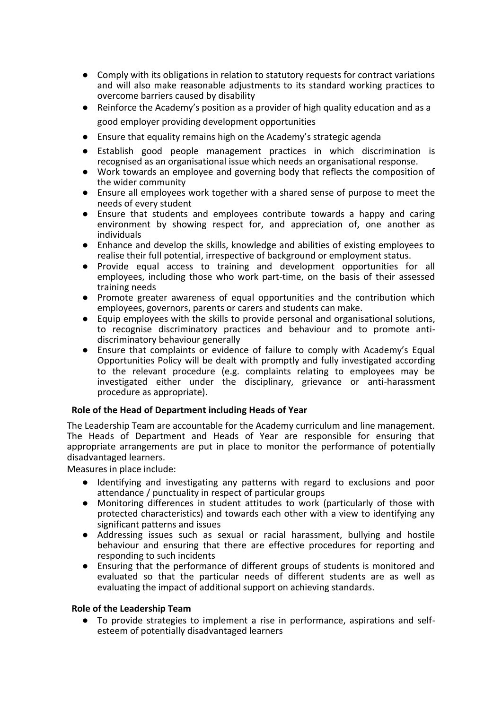- Comply with its obligations in relation to statutory requests for contract variations and will also make reasonable adjustments to its standard working practices to overcome barriers caused by disability
- Reinforce the Academy's position as a provider of high quality education and as a good employer providing development opportunities
- Ensure that equality remains high on the Academy's strategic agenda
- Establish good people management practices in which discrimination is recognised as an organisational issue which needs an organisational response.
- Work towards an employee and governing body that reflects the composition of the wider community
- Ensure all employees work together with a shared sense of purpose to meet the needs of every student
- Ensure that students and employees contribute towards a happy and caring environment by showing respect for, and appreciation of, one another as individuals
- Enhance and develop the skills, knowledge and abilities of existing employees to realise their full potential, irrespective of background or employment status.
- Provide equal access to training and development opportunities for all employees, including those who work part-time, on the basis of their assessed training needs
- Promote greater awareness of equal opportunities and the contribution which employees, governors, parents or carers and students can make.
- Equip employees with the skills to provide personal and organisational solutions, to recognise discriminatory practices and behaviour and to promote antidiscriminatory behaviour generally
- Ensure that complaints or evidence of failure to comply with Academy's Equal Opportunities Policy will be dealt with promptly and fully investigated according to the relevant procedure (e.g. complaints relating to employees may be investigated either under the disciplinary, grievance or anti-harassment procedure as appropriate).

# **Role of the Head of Department including Heads of Year**

The Leadership Team are accountable for the Academy curriculum and line management. The Heads of Department and Heads of Year are responsible for ensuring that appropriate arrangements are put in place to monitor the performance of potentially disadvantaged learners.

Measures in place include:

- Identifying and investigating any patterns with regard to exclusions and poor attendance / punctuality in respect of particular groups
- Monitoring differences in student attitudes to work (particularly of those with protected characteristics) and towards each other with a view to identifying any significant patterns and issues
- Addressing issues such as sexual or racial harassment, bullying and hostile behaviour and ensuring that there are effective procedures for reporting and responding to such incidents
- Ensuring that the performance of different groups of students is monitored and evaluated so that the particular needs of different students are as well as evaluating the impact of additional support on achieving standards.

# **Role of the Leadership Team**

● To provide strategies to implement a rise in performance, aspirations and selfesteem of potentially disadvantaged learners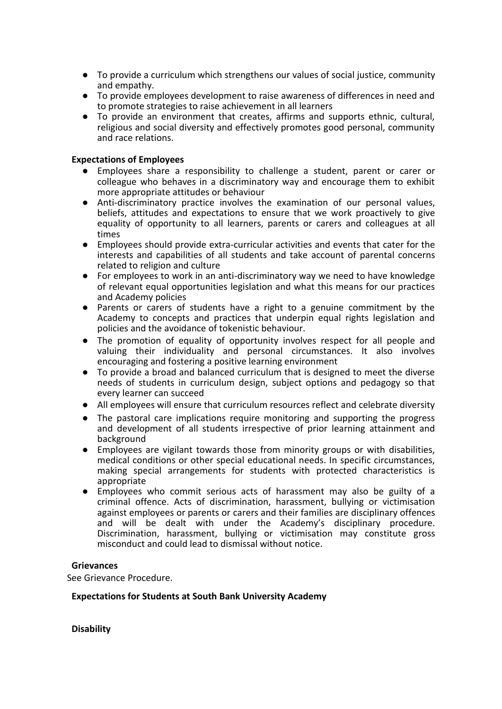- To provide a curriculum which strengthens our values of social justice, community and empathy.
- To provide employees development to raise awareness of differences in need and to promote strategies to raise achievement in all learners
- To provide an environment that creates, affirms and supports ethnic, cultural, religious and social diversity and effectively promotes good personal, community and race relations.

# **Expectations of Employees**

- Employees share a responsibility to challenge a student, parent or carer or colleague who behaves in a discriminatory way and encourage them to exhibit more appropriate attitudes or behaviour
- Anti-discriminatory practice involves the examination of our personal values, beliefs, attitudes and expectations to ensure that we work proactively to give equality of opportunity to all learners, parents or carers and colleagues at all times
- Employees should provide extra-curricular activities and events that cater for the interests and capabilities of all students and take account of parental concerns related to religion and culture
- For employees to work in an anti-discriminatory way we need to have knowledge of relevant equal opportunities legislation and what this means for our practices and Academy policies
- Parents or carers of students have a right to a genuine commitment by the Academy to concepts and practices that underpin equal rights legislation and policies and the avoidance of tokenistic behaviour.
- The promotion of equality of opportunity involves respect for all people and valuing their individuality and personal circumstances. It also involves encouraging and fostering a positive learning environment
- To provide a broad and balanced curriculum that is designed to meet the diverse needs of students in curriculum design, subject options and pedagogy so that every learner can succeed
- All employees will ensure that curriculum resources reflect and celebrate diversity
- The pastoral care implications require monitoring and supporting the progress and development of all students irrespective of prior learning attainment and background
- Employees are vigilant towards those from minority groups or with disabilities, medical conditions or other special educational needs. In specific circumstances, making special arrangements for students with protected characteristics is appropriate
- Employees who commit serious acts of harassment may also be guilty of a criminal offence. Acts of discrimination, harassment, bullying or victimisation against employees or parents or carers and their families are disciplinary offences and will be dealt with under the Academy's disciplinary procedure. Discrimination, harassment, bullying or victimisation may constitute gross misconduct and could lead to dismissal without notice.

#### **Grievances**

See Grievance Procedure.

#### **Expectations for Students at South Bank University Academy**

**Disability**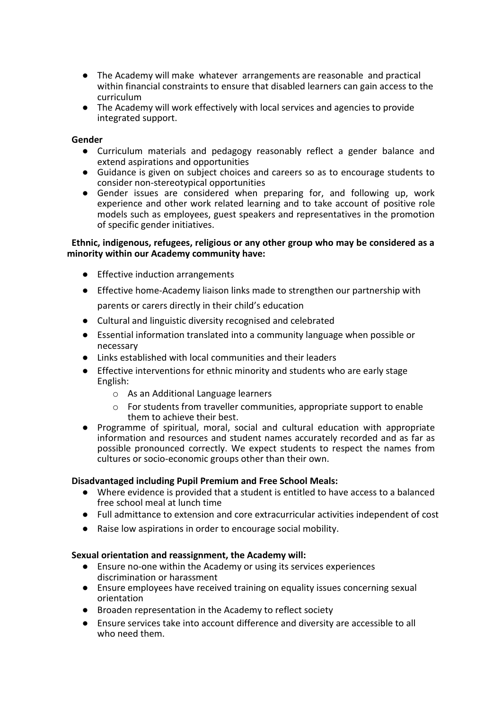- The Academy will make whatever arrangements are reasonable and practical within financial constraints to ensure that disabled learners can gain access to the curriculum
- The Academy will work effectively with local services and agencies to provide integrated support.

# **Gender**

- Curriculum materials and pedagogy reasonably reflect a gender balance and extend aspirations and opportunities
- Guidance is given on subject choices and careers so as to encourage students to consider non-stereotypical opportunities
- Gender issues are considered when preparing for, and following up, work experience and other work related learning and to take account of positive role models such as employees, guest speakers and representatives in the promotion of specific gender initiatives.

# **Ethnic, indigenous, refugees, religious or any other group who may be considered as a minority within our Academy community have:**

- Effective induction arrangements
- Effective home-Academy liaison links made to strengthen our partnership with parents or carers directly in their child's education
- Cultural and linguistic diversity recognised and celebrated
- Essential information translated into a community language when possible or necessary
- Links established with local communities and their leaders
- Effective interventions for ethnic minority and students who are early stage English:
	- o As an Additional Language learners
	- o For students from traveller communities, appropriate support to enable them to achieve their best.
- Programme of spiritual, moral, social and cultural education with appropriate information and resources and student names accurately recorded and as far as possible pronounced correctly. We expect students to respect the names from cultures or socio-economic groups other than their own.

# **Disadvantaged including Pupil Premium and Free School Meals:**

- Where evidence is provided that a student is entitled to have access to a balanced free school meal at lunch time
- Full admittance to extension and core extracurricular activities independent of cost
- Raise low aspirations in order to encourage social mobility.

# **Sexual orientation and reassignment, the Academy will:**

- Ensure no-one within the Academy or using its services experiences discrimination or harassment
- Ensure employees have received training on equality issues concerning sexual orientation
- Broaden representation in the Academy to reflect society
- Ensure services take into account difference and diversity are accessible to all who need them.